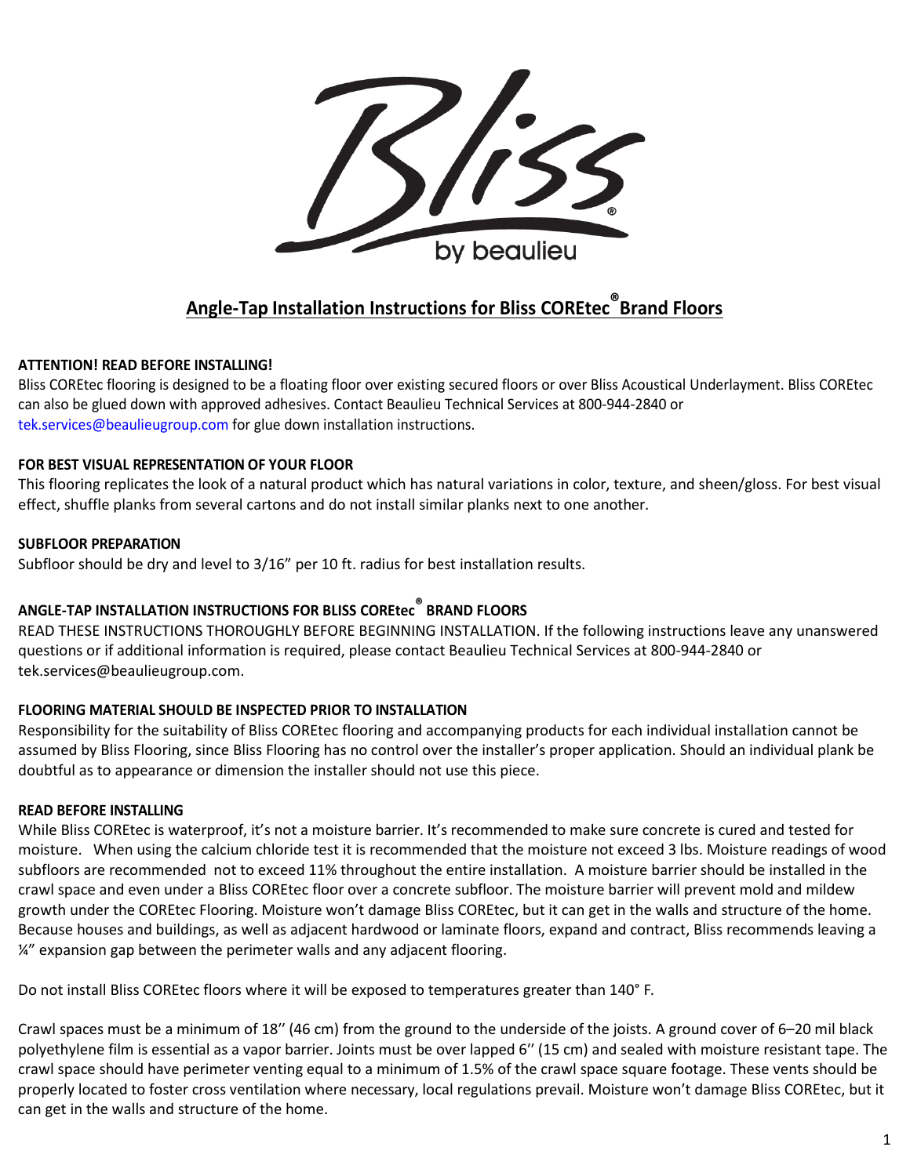

# **Angle-Tap Installation Instructions for Bliss COREtec®Brand Floors**

# **ATTENTION! READ BEFORE INSTALLING!**

Bliss COREtec flooring is designed to be a floating floor over existing secured floors or over Bliss Acoustical Underlayment. Bliss COREtec can also be glued down with approved adhesives. Contact Beaulieu Technical Services at 800-944-2840 or [tek.services@beaulieugroup.com](mailto:tek.services@beaulieugroup.com) for glue down installation instructions.

## **FOR BEST VISUAL REPRESENTATION OF YOUR FLOOR**

This flooring replicates the look of a natural product which has natural variations in color, texture, and sheen/gloss. For best visual effect, shuffle planks from several cartons and do not install similar planks next to one another.

#### **SUBFLOOR PREPARATION**

Subfloor should be dry and level to 3/16" per 10 ft. radius for best installation results.

# **ANGLE-TAP INSTALLATION INSTRUCTIONS FOR BLISS COREtec® BRAND FLOORS**

READ THESE INSTRUCTIONS THOROUGHLY BEFORE BEGINNING INSTALLATION. If the following instructions leave any unanswered questions or if additional information is required, please contact Beaulieu Technical Services at 800-944-2840 or tek.services@beaulieugroup.com.

# **FLOORING MATERIAL SHOULD BE INSPECTED PRIOR TO INSTALLATION**

Responsibility for the suitability of Bliss COREtec flooring and accompanying products for each individual installation cannot be assumed by Bliss Flooring, since Bliss Flooring has no control over the installer's proper application. Should an individual plank be doubtful as to appearance or dimension the installer should not use this piece.

#### **READ BEFORE INSTALLING**

While Bliss COREtec is waterproof, it's not a moisture barrier. It's recommended to make sure concrete is cured and tested for moisture. When using the calcium chloride test it is recommended that the moisture not exceed 3 lbs. Moisture readings of wood subfloors are recommended not to exceed 11% throughout the entire installation. A moisture barrier should be installed in the crawl space and even under a Bliss COREtec floor over a concrete subfloor. The moisture barrier will prevent mold and mildew growth under the COREtec Flooring. Moisture won't damage Bliss COREtec, but it can get in the walls and structure of the home. Because houses and buildings, as well as adjacent hardwood or laminate floors, expand and contract, Bliss recommends leaving a ¼" expansion gap between the perimeter walls and any adjacent flooring.

Do not install Bliss COREtec floors where it will be exposed to temperatures greater than 140° F.

Crawl spaces must be a minimum of 18′′ (46 cm) from the ground to the underside of the joists. A ground cover of 6–20 mil black polyethylene film is essential as a vapor barrier. Joints must be over lapped 6′′ (15 cm) and sealed with moisture resistant tape. The crawl space should have perimeter venting equal to a minimum of 1.5% of the crawl space square footage. These vents should be properly located to foster cross ventilation where necessary, local regulations prevail. Moisture won't damage Bliss COREtec, but it can get in the walls and structure of the home.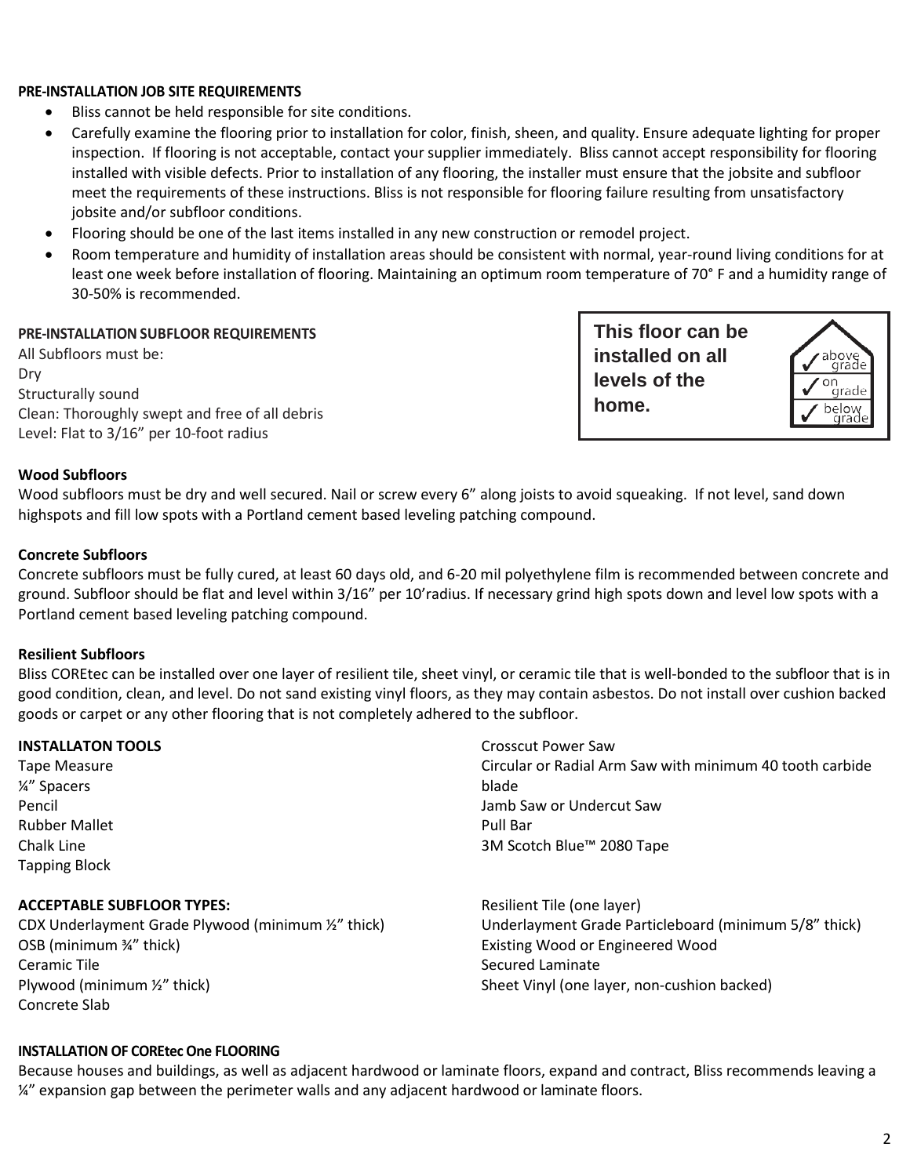#### **PRE-INSTALLATION JOB SITE REQUIREMENTS**

- Bliss cannot be held responsible for site conditions.
- Carefully examine the flooring prior to installation for color, finish, sheen, and quality. Ensure adequate lighting for proper inspection. If flooring is not acceptable, contact your supplier immediately. Bliss cannot accept responsibility for flooring installed with visible defects. Prior to installation of any flooring, the installer must ensure that the jobsite and subfloor meet the requirements of these instructions. Bliss is not responsible for flooring failure resulting from unsatisfactory jobsite and/or subfloor conditions.
- Flooring should be one of the last items installed in any new construction or remodel project.
- Room temperature and humidity of installation areas should be consistent with normal, year-round living conditions for at least one week before installation of flooring. Maintaining an optimum room temperature of 70° F and a humidity range of 30-50% is recommended.

#### **PRE-INSTALLATION SUBFLOOR REQUIREMENTS**

All Subfloors must be: Dry Structurally sound Clean: Thoroughly swept and free of all debris Level: Flat to 3/16" per 10-foot radius

**This floor can be installed on all levels of the home.**



#### **Wood Subfloors**

Wood subfloors must be dry and well secured. Nail or screw every 6" along joists to avoid squeaking. If not level, sand down highspots and fill low spots with a Portland cement based leveling patching compound.

#### **Concrete Subfloors**

Concrete subfloors must be fully cured, at least 60 days old, and 6-20 mil polyethylene film is recommended between concrete and ground. Subfloor should be flat and level within 3/16" per 10'radius. If necessary grind high spots down and level low spots with a Portland cement based leveling patching compound.

#### **Resilient Subfloors**

Bliss COREtec can be installed over one layer of resilient tile, sheet vinyl, or ceramic tile that is well-bonded to the subfloor that is in good condition, clean, and level. Do not sand existing vinyl floors, as they may contain asbestos. Do not install over cushion backed goods or carpet or any other flooring that is not completely adhered to the subfloor.

#### **INSTALLATON TOOLS**

Tape Measure ¼" Spacers Pencil Rubber Mallet Chalk Line Tapping Block

#### **ACCEPTABLE SUBFLOOR TYPES:**

CDX Underlayment Grade Plywood (minimum ½" thick) OSB (minimum ¾" thick) Ceramic Tile Plywood (minimum ½" thick) Concrete Slab

Crosscut Power Saw Circular or Radial Arm Saw with minimum 40 tooth carbide blade Jamb Saw or Undercut Saw Pull Bar 3M Scotch Blue™ 2080 Tape

Resilient Tile (one layer) Underlayment Grade Particleboard (minimum 5/8" thick) Existing Wood or Engineered Wood Secured Laminate Sheet Vinyl (one layer, non-cushion backed)

#### **INSTALLATION OF COREtec One FLOORING**

Because houses and buildings, as well as adjacent hardwood or laminate floors, expand and contract, Bliss recommends leaving a ¼" expansion gap between the perimeter walls and any adjacent hardwood or laminate floors.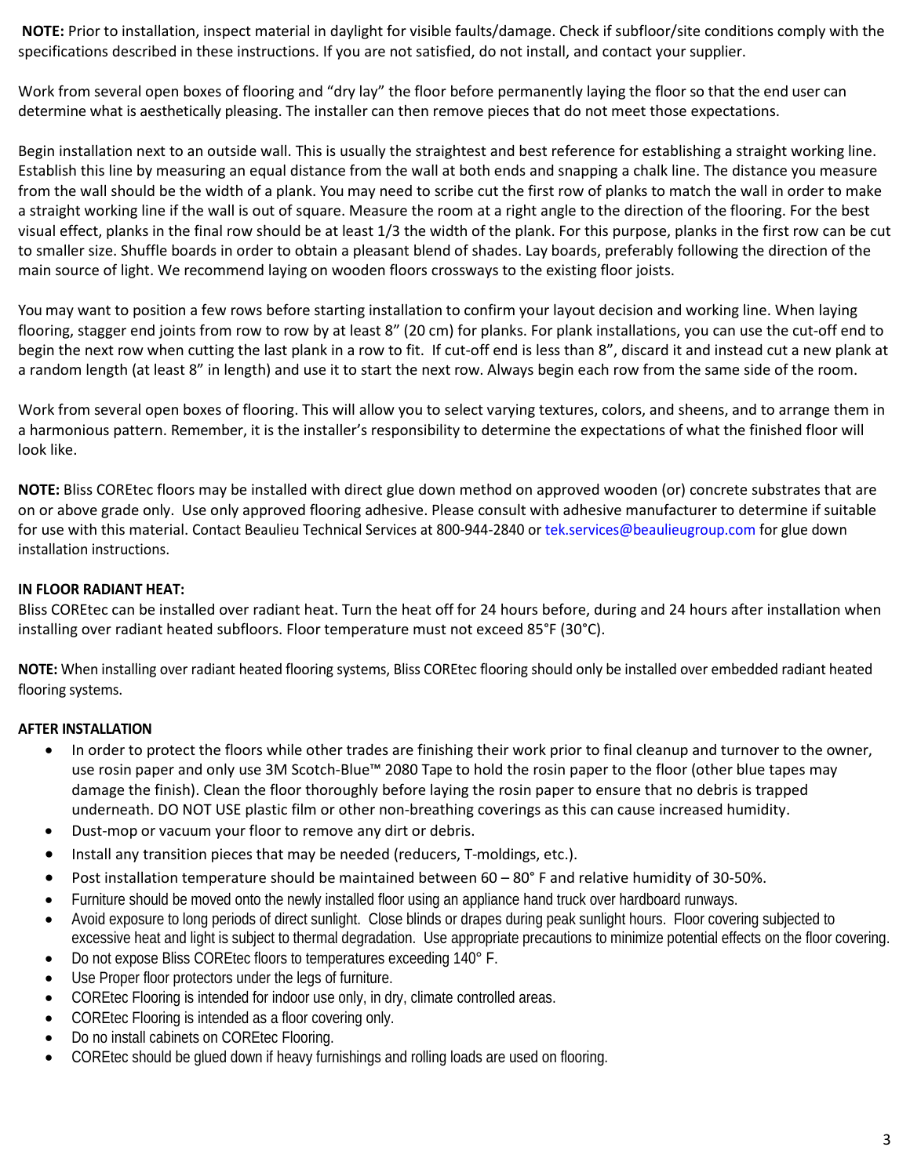**NOTE:** Prior to installation, inspect material in daylight for visible faults/damage. Check if subfloor/site conditions comply with the specifications described in these instructions. If you are not satisfied, do not install, and contact your supplier.

Work from several open boxes of flooring and "dry lay" the floor before permanently laying the floor so that the end user can determine what is aesthetically pleasing. The installer can then remove pieces that do not meet those expectations.

Begin installation next to an outside wall. This is usually the straightest and best reference for establishing a straight working line. Establish this line by measuring an equal distance from the wall at both ends and snapping a chalk line. The distance you measure from the wall should be the width of a plank. You may need to scribe cut the first row of planks to match the wall in order to make a straight working line if the wall is out of square. Measure the room at a right angle to the direction of the flooring. For the best visual effect, planks in the final row should be at least 1/3 the width of the plank. For this purpose, planks in the first row can be cut to smaller size. Shuffle boards in order to obtain a pleasant blend of shades. Lay boards, preferably following the direction of the main source of light. We recommend laying on wooden floors crossways to the existing floor joists.

You may want to position a few rows before starting installation to confirm your layout decision and working line. When laying flooring, stagger end joints from row to row by at least 8" (20 cm) for planks. For plank installations, you can use the cut-off end to begin the next row when cutting the last plank in a row to fit. If cut-off end is less than 8", discard it and instead cut a new plank at a random length (at least 8" in length) and use it to start the next row. Always begin each row from the same side of the room.

Work from several open boxes of flooring. This will allow you to select varying textures, colors, and sheens, and to arrange them in a harmonious pattern. Remember, it is the installer's responsibility to determine the expectations of what the finished floor will look like.

**NOTE:** Bliss COREtec floors may be installed with direct glue down method on approved wooden (or) concrete substrates that are on or above grade only. Use only approved flooring adhesive. Please consult with adhesive manufacturer to determine if suitable for use with this material. Contact Beaulieu Technical Services at 800-944-2840 or [tek.services@beaulieugroup.com](mailto:tek.services@beaulieugroup.com) for glue down installation instructions.

#### **IN FLOOR RADIANT HEAT:**

Bliss COREtec can be installed over radiant heat. Turn the heat off for 24 hours before, during and 24 hours after installation when installing over radiant heated subfloors. Floor temperature must not exceed 85°F (30°C).

**NOTE:** When installing over radiant heated flooring systems, Bliss COREtec flooring should only be installed over embedded radiant heated flooring systems.

# **AFTER INSTALLATION**

- In order to protect the floors while other trades are finishing their work prior to final cleanup and turnover to the owner, use rosin paper and only use 3M Scotch-Blue™ 2080 Tape to hold the rosin paper to the floor (other blue tapes may damage the finish). Clean the floor thoroughly before laying the rosin paper to ensure that no debris is trapped underneath. DO NOT USE plastic film or other non-breathing coverings as this can cause increased humidity.
- Dust-mop or vacuum your floor to remove any dirt or debris.
- Install any transition pieces that may be needed (reducers, T-moldings, etc.).
- Post installation temperature should be maintained between 60 80° F and relative humidity of 30-50%.
- Furniture should be moved onto the newly installed floor using an appliance hand truck over hardboard runways.
- Avoid exposure to long periods of direct sunlight. Close blinds or drapes during peak sunlight hours. Floor covering subjected to excessive heat and light is subject to thermal degradation. Use appropriate precautions to minimize potential effects on the floor covering.
- Do not expose Bliss COREtec floors to temperatures exceeding 140° F.
- Use Proper floor protectors under the legs of furniture.
- COREtec Flooring is intended for indoor use only, in dry, climate controlled areas.
- COREtec Flooring is intended as a floor covering only.
- Do no install cabinets on COREtec Flooring.
- COREtec should be glued down if heavy furnishings and rolling loads are used on flooring.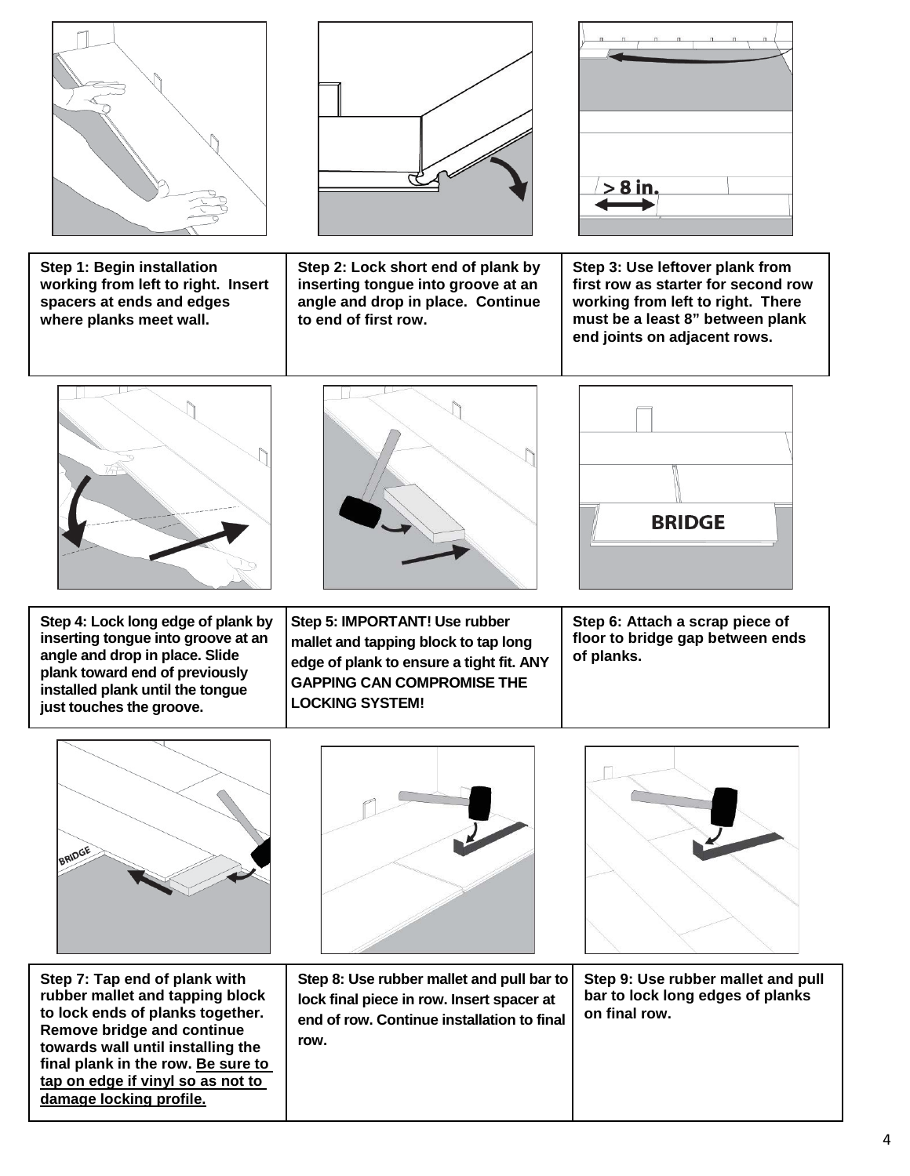

 $> 8$  in.

**Step 1: Begin installation working from left to right. Insert spacers at ends and edges where planks meet wall.**

**Step 2: Lock short end of plank by inserting tongue into groove at an angle and drop in place. Continue to end of first row.**

**Step 3: Use leftover plank from first row as starter for second row working from left to right. There must be a least 8" between plank end joints on adjacent rows.**



**Step 4: Lock long edge of plank by inserting tongue into groove at an angle and drop in place. Slide plank toward end of previously installed plank until the tongue just touches the groove.**



**Step 5: IMPORTANT! Use rubber mallet and tapping block to tap long edge of plank to ensure a tight fit. ANY GAPPING CAN COMPROMISE THE LOCKING SYSTEM!**

**BRIDGE** 

**Step 6: Attach a scrap piece of floor to bridge gap between ends of planks.**



**Step 7: Tap end of plank with rubber mallet and tapping block to lock ends of planks together. Remove bridge and continue towards wall until installing the final plank in the row. Be sure to tap on edge if vinyl so as not to damage locking profile.**





**Step 8: Use rubber mallet and pull bar to lock final piece in row. Insert spacer at end of row. Continue installation to final row.**

**Step 9: Use rubber mallet and pull bar to lock long edges of planks on final row.**